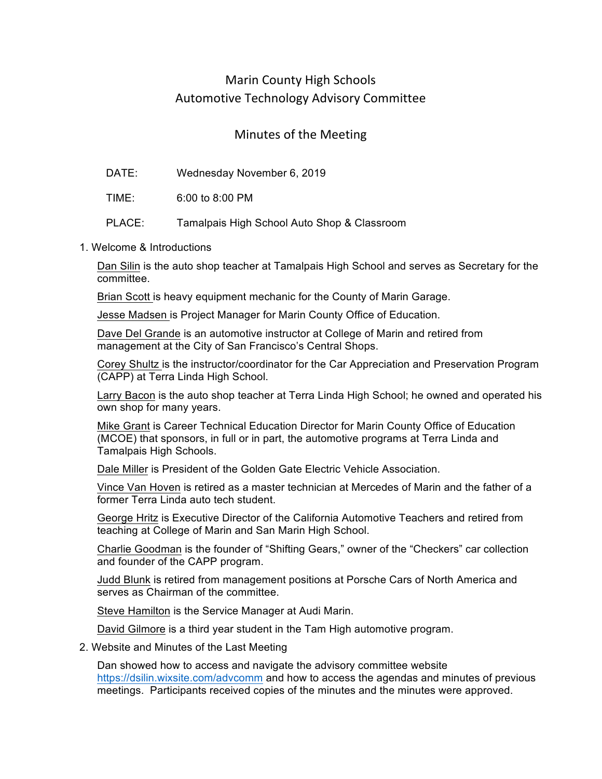# Marin County High Schools Automotive Technology Advisory Committee

## Minutes of the Meeting

| DATE:  | Wednesday November 6, 2019                  |
|--------|---------------------------------------------|
| TIME:  | 6:00 to 8:00 PM                             |
| PLACE: | Tamalpais High School Auto Shop & Classroom |

1. Welcome & Introductions

Dan Silin is the auto shop teacher at Tamalpais High School and serves as Secretary for the committee.

Brian Scott is heavy equipment mechanic for the County of Marin Garage.

Jesse Madsen is Project Manager for Marin County Office of Education.

Dave Del Grande is an automotive instructor at College of Marin and retired from management at the City of San Francisco's Central Shops.

Corey Shultz is the instructor/coordinator for the Car Appreciation and Preservation Program (CAPP) at Terra Linda High School.

Larry Bacon is the auto shop teacher at Terra Linda High School; he owned and operated his own shop for many years.

Mike Grant is Career Technical Education Director for Marin County Office of Education (MCOE) that sponsors, in full or in part, the automotive programs at Terra Linda and Tamalpais High Schools.

Dale Miller is President of the Golden Gate Electric Vehicle Association.

Vince Van Hoven is retired as a master technician at Mercedes of Marin and the father of a former Terra Linda auto tech student.

George Hritz is Executive Director of the California Automotive Teachers and retired from teaching at College of Marin and San Marin High School.

Charlie Goodman is the founder of "Shifting Gears," owner of the "Checkers" car collection and founder of the CAPP program.

Judd Blunk is retired from management positions at Porsche Cars of North America and serves as Chairman of the committee.

Steve Hamilton is the Service Manager at Audi Marin.

David Gilmore is a third year student in the Tam High automotive program.

2. Website and Minutes of the Last Meeting

Dan showed how to access and navigate the advisory committee website https://dsilin.wixsite.com/advcomm and how to access the agendas and minutes of previous meetings. Participants received copies of the minutes and the minutes were approved.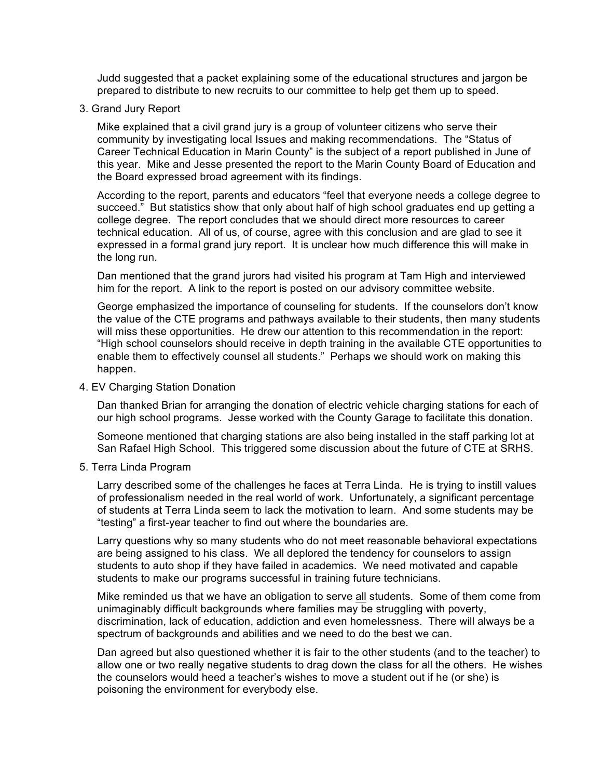Judd suggested that a packet explaining some of the educational structures and jargon be prepared to distribute to new recruits to our committee to help get them up to speed.

3. Grand Jury Report

Mike explained that a civil grand jury is a group of volunteer citizens who serve their community by investigating local Issues and making recommendations. The "Status of Career Technical Education in Marin County" is the subject of a report published in June of this year. Mike and Jesse presented the report to the Marin County Board of Education and the Board expressed broad agreement with its findings.

According to the report, parents and educators "feel that everyone needs a college degree to succeed." But statistics show that only about half of high school graduates end up getting a college degree. The report concludes that we should direct more resources to career technical education. All of us, of course, agree with this conclusion and are glad to see it expressed in a formal grand jury report. It is unclear how much difference this will make in the long run.

Dan mentioned that the grand jurors had visited his program at Tam High and interviewed him for the report. A link to the report is posted on our advisory committee website.

George emphasized the importance of counseling for students. If the counselors don't know the value of the CTE programs and pathways available to their students, then many students will miss these opportunities. He drew our attention to this recommendation in the report: "High school counselors should receive in depth training in the available CTE opportunities to enable them to effectively counsel all students." Perhaps we should work on making this happen.

4. EV Charging Station Donation

Dan thanked Brian for arranging the donation of electric vehicle charging stations for each of our high school programs. Jesse worked with the County Garage to facilitate this donation.

Someone mentioned that charging stations are also being installed in the staff parking lot at San Rafael High School. This triggered some discussion about the future of CTE at SRHS.

5. Terra Linda Program

Larry described some of the challenges he faces at Terra Linda. He is trying to instill values of professionalism needed in the real world of work. Unfortunately, a significant percentage of students at Terra Linda seem to lack the motivation to learn. And some students may be "testing" a first-year teacher to find out where the boundaries are.

Larry questions why so many students who do not meet reasonable behavioral expectations are being assigned to his class. We all deplored the tendency for counselors to assign students to auto shop if they have failed in academics. We need motivated and capable students to make our programs successful in training future technicians.

Mike reminded us that we have an obligation to serve all students. Some of them come from unimaginably difficult backgrounds where families may be struggling with poverty, discrimination, lack of education, addiction and even homelessness. There will always be a spectrum of backgrounds and abilities and we need to do the best we can.

Dan agreed but also questioned whether it is fair to the other students (and to the teacher) to allow one or two really negative students to drag down the class for all the others. He wishes the counselors would heed a teacher's wishes to move a student out if he (or she) is poisoning the environment for everybody else.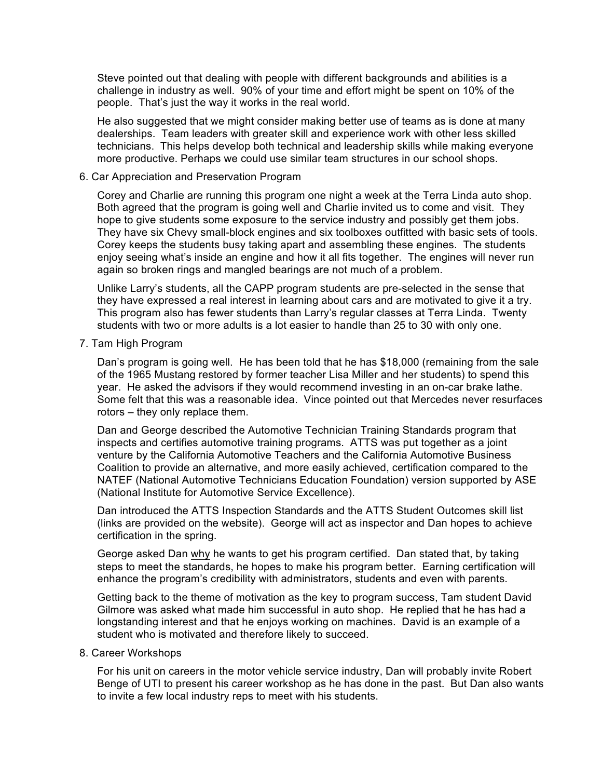Steve pointed out that dealing with people with different backgrounds and abilities is a challenge in industry as well. 90% of your time and effort might be spent on 10% of the people. That's just the way it works in the real world.

He also suggested that we might consider making better use of teams as is done at many dealerships. Team leaders with greater skill and experience work with other less skilled technicians. This helps develop both technical and leadership skills while making everyone more productive. Perhaps we could use similar team structures in our school shops.

#### 6. Car Appreciation and Preservation Program

Corey and Charlie are running this program one night a week at the Terra Linda auto shop. Both agreed that the program is going well and Charlie invited us to come and visit. They hope to give students some exposure to the service industry and possibly get them jobs. They have six Chevy small-block engines and six toolboxes outfitted with basic sets of tools. Corey keeps the students busy taking apart and assembling these engines. The students enjoy seeing what's inside an engine and how it all fits together. The engines will never run again so broken rings and mangled bearings are not much of a problem.

Unlike Larry's students, all the CAPP program students are pre-selected in the sense that they have expressed a real interest in learning about cars and are motivated to give it a try. This program also has fewer students than Larry's regular classes at Terra Linda. Twenty students with two or more adults is a lot easier to handle than 25 to 30 with only one.

### 7. Tam High Program

Dan's program is going well. He has been told that he has \$18,000 (remaining from the sale of the 1965 Mustang restored by former teacher Lisa Miller and her students) to spend this year. He asked the advisors if they would recommend investing in an on-car brake lathe. Some felt that this was a reasonable idea. Vince pointed out that Mercedes never resurfaces rotors – they only replace them.

Dan and George described the Automotive Technician Training Standards program that inspects and certifies automotive training programs. ATTS was put together as a joint venture by the California Automotive Teachers and the California Automotive Business Coalition to provide an alternative, and more easily achieved, certification compared to the NATEF (National Automotive Technicians Education Foundation) version supported by ASE (National Institute for Automotive Service Excellence).

Dan introduced the ATTS Inspection Standards and the ATTS Student Outcomes skill list (links are provided on the website). George will act as inspector and Dan hopes to achieve certification in the spring.

George asked Dan why he wants to get his program certified. Dan stated that, by taking steps to meet the standards, he hopes to make his program better. Earning certification will enhance the program's credibility with administrators, students and even with parents.

Getting back to the theme of motivation as the key to program success, Tam student David Gilmore was asked what made him successful in auto shop. He replied that he has had a longstanding interest and that he enjoys working on machines. David is an example of a student who is motivated and therefore likely to succeed.

#### 8. Career Workshops

For his unit on careers in the motor vehicle service industry, Dan will probably invite Robert Benge of UTI to present his career workshop as he has done in the past. But Dan also wants to invite a few local industry reps to meet with his students.